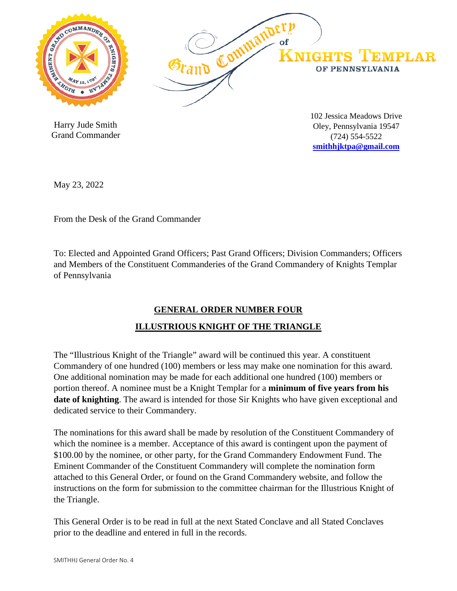

 Harry Jude Smith Grand Commander 102 Jessica Meadows Drive Oley, Pennsylvania 19547 (724) 554-5522 **[smithhjktpa@gmail.com](mailto:smithhjktpa@gmail.com)**

May 23, 2022

From the Desk of the Grand Commander

To: Elected and Appointed Grand Officers; Past Grand Officers; Division Commanders; Officers and Members of the Constituent Commanderies of the Grand Commandery of Knights Templar of Pennsylvania

## **GENERAL ORDER NUMBER FOUR ILLUSTRIOUS KNIGHT OF THE TRIANGLE**

The "Illustrious Knight of the Triangle" award will be continued this year. A constituent Commandery of one hundred (100) members or less may make one nomination for this award. One additional nomination may be made for each additional one hundred (100) members or portion thereof. A nominee must be a Knight Templar for a **minimum of five years from his date of knighting**. The award is intended for those Sir Knights who have given exceptional and dedicated service to their Commandery.

The nominations for this award shall be made by resolution of the Constituent Commandery of which the nominee is a member. Acceptance of this award is contingent upon the payment of \$100.00 by the nominee, or other party, for the Grand Commandery Endowment Fund. The Eminent Commander of the Constituent Commandery will complete the nomination form attached to this General Order, or found on the Grand Commandery website, and follow the instructions on the form for submission to the committee chairman for the Illustrious Knight of the Triangle.

This General Order is to be read in full at the next Stated Conclave and all Stated Conclaves prior to the deadline and entered in full in the records.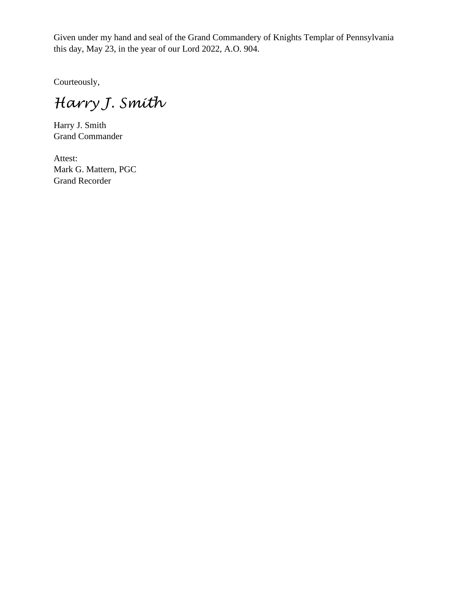Given under my hand and seal of the Grand Commandery of Knights Templar of Pennsylvania this day, May 23, in the year of our Lord 2022, A.O. 904.

Courteously,

*Harry J. Smith*

Harry J. Smith Grand Commander

Attest: Mark G. Mattern, PGC Grand Recorder